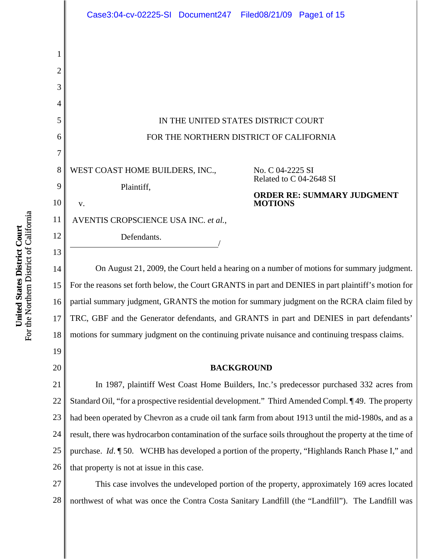

For the Northern District of California For the Northern District of California United States District Court **United States District Court**

23 24 25 26 had been operated by Chevron as a crude oil tank farm from about 1913 until the mid-1980s, and as a result, there was hydrocarbon contamination of the surface soils throughout the property at the time of purchase. *Id*. ¶ 50. WCHB has developed a portion of the property, "Highlands Ranch Phase I," and that property is not at issue in this case.

27 28 This case involves the undeveloped portion of the property, approximately 169 acres located northwest of what was once the Contra Costa Sanitary Landfill (the "Landfill"). The Landfill was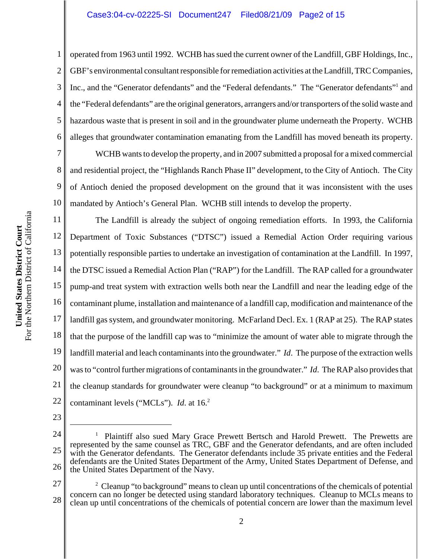1 2 3 4 5 6 operated from 1963 until 1992. WCHB has sued the current owner of the Landfill, GBF Holdings, Inc., GBF's environmental consultant responsible for remediation activities at the Landfill, TRC Companies, Inc., and the "Generator defendants" and the "Federal defendants." The "Generator defendants" and the "Federal defendants" are the original generators, arrangers and/or transporters of the solid waste and hazardous waste that is present in soil and in the groundwater plume underneath the Property. WCHB alleges that groundwater contamination emanating from the Landfill has moved beneath its property.

WCHB wants to develop the property, and in 2007 submitted a proposal for a mixed commercial and residential project, the "Highlands Ranch Phase II" development, to the City of Antioch. The City of Antioch denied the proposed development on the ground that it was inconsistent with the uses mandated by Antioch's General Plan. WCHB still intends to develop the property.

11 12 13 14 15 16 17 18 19 20 21 22 The Landfill is already the subject of ongoing remediation efforts. In 1993, the California Department of Toxic Substances ("DTSC") issued a Remedial Action Order requiring various potentially responsible parties to undertake an investigation of contamination at the Landfill. In 1997, the DTSC issued a Remedial Action Plan ("RAP") for the Landfill. The RAP called for a groundwater pump-and treat system with extraction wells both near the Landfill and near the leading edge of the contaminant plume, installation and maintenance of a landfill cap, modification and maintenance of the landfill gas system, and groundwater monitoring. McFarland Decl. Ex. 1 (RAP at 25). The RAP states that the purpose of the landfill cap was to "minimize the amount of water able to migrate through the landfill material and leach contaminants into the groundwater." *Id*. The purpose of the extraction wells was to "control further migrations of contaminants in the groundwater." *Id*. The RAP also provides that the cleanup standards for groundwater were cleanup "to background" or at a minimum to maximum contaminant levels ("MCLs"). *Id*. at 16.2

23

7

8

9

- 24 25 26 1 Plaintiff also sued Mary Grace Prewett Bertsch and Harold Prewett. The Prewetts are represented by the same counsel as TRC, GBF and the Generator defendants, and are often included with the Generator defendants. The Generator defendants include 35 private entities and the Federal defendants are the United States Department of the Army, United States Department of Defense, and the United States Department of the Navy.
- 27 28  $2^2$  Cleanup "to background" means to clean up until concentrations of the chemicals of potential concern can no longer be detected using standard laboratory techniques. Cleanup to MCLs means to clean up until concentrations of the chemicals of potential concern are lower than the maximum level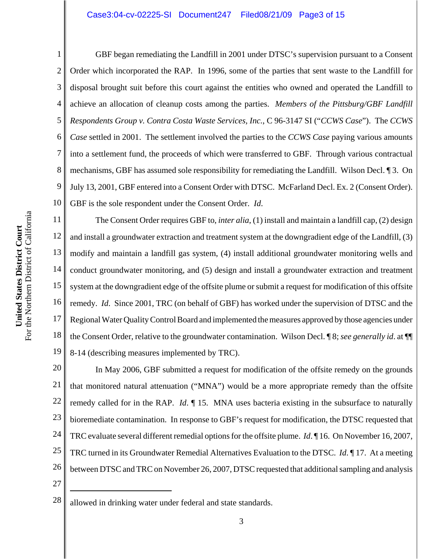#### Case3:04-cv-02225-SI Document247 Filed08/21/09 Page3 of 15

1 2 3 4 5 6 7 8 9 10 GBF began remediating the Landfill in 2001 under DTSC's supervision pursuant to a Consent Order which incorporated the RAP. In 1996, some of the parties that sent waste to the Landfill for disposal brought suit before this court against the entities who owned and operated the Landfill to achieve an allocation of cleanup costs among the parties. *Members of the Pittsburg/GBF Landfill Respondents Group v. Contra Costa Waste Services, Inc.*, C 96-3147 SI ("*CCWS Case*"). The *CCWS Case* settled in 2001. The settlement involved the parties to the *CCWS Case* paying various amounts into a settlement fund, the proceeds of which were transferred to GBF. Through various contractual mechanisms, GBF has assumed sole responsibility for remediating the Landfill. Wilson Decl. ¶ 3. On July 13, 2001, GBF entered into a Consent Order with DTSC. McFarland Decl. Ex. 2 (Consent Order). GBF is the sole respondent under the Consent Order. *Id*.

11 12 13 14 15 16 17 18 19 The Consent Order requires GBF to, *inter alia*, (1) install and maintain a landfill cap, (2) design and install a groundwater extraction and treatment system at the downgradient edge of the Landfill, (3) modify and maintain a landfill gas system, (4) install additional groundwater monitoring wells and conduct groundwater monitoring, and (5) design and install a groundwater extraction and treatment system at the downgradient edge of the offsite plume or submit a request for modification of this offsite remedy. *Id*. Since 2001, TRC (on behalf of GBF) has worked under the supervision of DTSC and the Regional Water Quality Control Board and implemented the measures approved by those agencies under the Consent Order, relative to the groundwater contamination. Wilson Decl. ¶ 8; *see generally id*. at ¶¶ 8-14 (describing measures implemented by TRC).

20 21 22 23 24 25 26 In May 2006, GBF submitted a request for modification of the offsite remedy on the grounds that monitored natural attenuation ("MNA") would be a more appropriate remedy than the offsite remedy called for in the RAP. *Id*. ¶ 15. MNA uses bacteria existing in the subsurface to naturally bioremediate contamination. In response to GBF's request for modification, the DTSC requested that TRC evaluate several different remedial options for the offsite plume. *Id*. ¶ 16. On November 16, 2007, TRC turned in its Groundwater Remedial Alternatives Evaluation to the DTSC. *Id*. ¶ 17. At a meeting between DTSC and TRC on November 26, 2007, DTSC requested that additional sampling and analysis

 $28 \parallel$  allowed in drinking water under federal and state standards.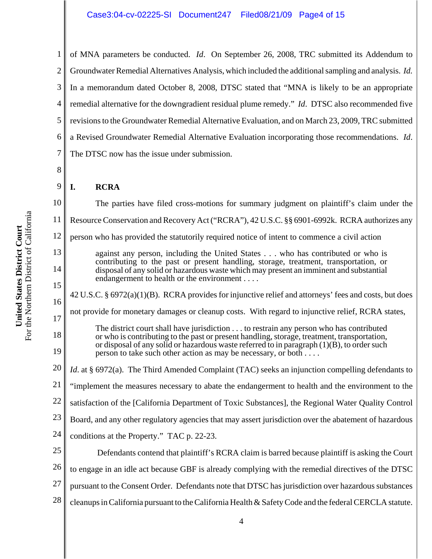1 2 3 4 5 6 7 of MNA parameters be conducted. *Id*. On September 26, 2008, TRC submitted its Addendum to Groundwater Remedial Alternatives Analysis, which included the additional sampling and analysis. *Id.* In a memorandum dated October 8, 2008, DTSC stated that "MNA is likely to be an appropriate remedial alternative for the downgradient residual plume remedy." *Id*. DTSC also recommended five revisions to the Groundwater Remedial Alternative Evaluation, and on March 23, 2009, TRC submitted a Revised Groundwater Remedial Alternative Evaluation incorporating those recommendations. *Id*. The DTSC now has the issue under submission.

8 9 10

# **I. RCRA**

11 12 13 14 15 16 17 18 19 20 21 The parties have filed cross-motions for summary judgment on plaintiff's claim under the Resource Conservation and Recovery Act ("RCRA"), 42 U.S.C. §§ 6901-6992k. RCRA authorizes any person who has provided the statutorily required notice of intent to commence a civil action against any person, including the United States . . . who has contributed or who is contributing to the past or present handling, storage, treatment, transportation, or disposal of any solid or hazardous waste which may present an imminent and substantial endangerment to health or the environment . . . . 42 U.S.C. § 6972(a)(1)(B). RCRA provides for injunctive relief and attorneys' fees and costs, but does not provide for monetary damages or cleanup costs. With regard to injunctive relief, RCRA states, The district court shall have jurisdiction . . . to restrain any person who has contributed or who is contributing to the past or present handling, storage, treatment, transportation, or disposal of any solid or hazardous waste referred to in paragraph  $(1)(B)$ , to order such person to take such other action as may be necessary, or both . . . . *Id*. at § 6972(a). The Third Amended Complaint (TAC) seeks an injunction compelling defendants to "implement the measures necessary to abate the endangerment to health and the environment to the

22 satisfaction of the [California Department of Toxic Substances], the Regional Water Quality Control

23 Board, and any other regulatory agencies that may assert jurisdiction over the abatement of hazardous

24 conditions at the Property." TAC p. 22-23.

25 26 27 28 Defendants contend that plaintiff's RCRA claim is barred because plaintiff is asking the Court to engage in an idle act because GBF is already complying with the remedial directives of the DTSC pursuant to the Consent Order. Defendants note that DTSC has jurisdiction over hazardous substances cleanups in California pursuant to the California Health & Safety Code and the federal CERCLA statute.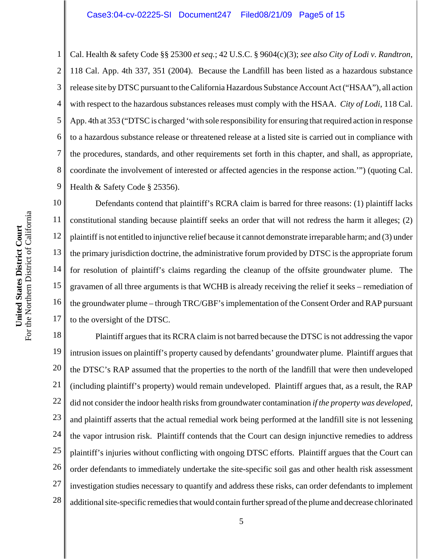1 2 3 4 5 6 7 8 9 Cal. Health & safety Code §§ 25300 *et seq.*; 42 U.S.C. § 9604(c)(3); *see also City of Lodi v. Randtron*, 118 Cal. App. 4th 337, 351 (2004). Because the Landfill has been listed as a hazardous substance release site by DTSC pursuant to the California Hazardous Substance Account Act ("HSAA"), all action with respect to the hazardous substances releases must comply with the HSAA. *City of Lodi*, 118 Cal. App. 4th at 353 ("DTSC is charged 'with sole responsibility for ensuring that required action in response to a hazardous substance release or threatened release at a listed site is carried out in compliance with the procedures, standards, and other requirements set forth in this chapter, and shall, as appropriate, coordinate the involvement of interested or affected agencies in the response action.'") (quoting Cal. Health & Safety Code § 25356).

10 11 12 13 14 15 16 17 Defendants contend that plaintiff's RCRA claim is barred for three reasons: (1) plaintiff lacks constitutional standing because plaintiff seeks an order that will not redress the harm it alleges; (2) plaintiff is not entitled to injunctive relief because it cannot demonstrate irreparable harm; and (3) under the primary jurisdiction doctrine, the administrative forum provided by DTSC is the appropriate forum for resolution of plaintiff's claims regarding the cleanup of the offsite groundwater plume. The gravamen of all three arguments is that WCHB is already receiving the relief it seeks – remediation of the groundwater plume – through TRC/GBF's implementation of the Consent Order and RAP pursuant to the oversight of the DTSC.

18 19 20 21 22 23 24 25 26 27 28 Plaintiff argues that its RCRA claim is not barred because the DTSC is not addressing the vapor intrusion issues on plaintiff's property caused by defendants' groundwater plume. Plaintiff argues that the DTSC's RAP assumed that the properties to the north of the landfill that were then undeveloped (including plaintiff's property) would remain undeveloped. Plaintiff argues that, as a result, the RAP did not consider the indoor health risks from groundwater contamination *if the property was developed*, and plaintiff asserts that the actual remedial work being performed at the landfill site is not lessening the vapor intrusion risk. Plaintiff contends that the Court can design injunctive remedies to address plaintiff's injuries without conflicting with ongoing DTSC efforts. Plaintiff argues that the Court can order defendants to immediately undertake the site-specific soil gas and other health risk assessment investigation studies necessary to quantify and address these risks, can order defendants to implement additional site-specific remedies that would contain further spread of the plume and decrease chlorinated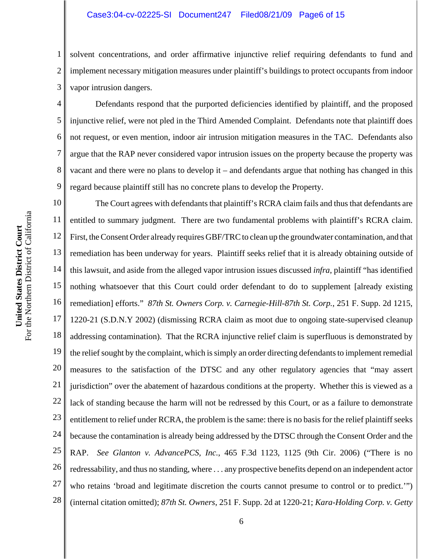#### Case3:04-cv-02225-SI Document247 Filed08/21/09 Page6 of 15

1 2 3 solvent concentrations, and order affirmative injunctive relief requiring defendants to fund and implement necessary mitigation measures under plaintiff's buildings to protect occupants from indoor vapor intrusion dangers.

Defendants respond that the purported deficiencies identified by plaintiff, and the proposed injunctive relief, were not pled in the Third Amended Complaint. Defendants note that plaintiff does not request, or even mention, indoor air intrusion mitigation measures in the TAC. Defendants also argue that the RAP never considered vapor intrusion issues on the property because the property was vacant and there were no plans to develop it – and defendants argue that nothing has changed in this regard because plaintiff still has no concrete plans to develop the Property.

10 11 12 13 14 15 16 17 18 19 20 21 22 23 24 25 26 27 28 The Court agrees with defendants that plaintiff's RCRA claim fails and thus that defendants are entitled to summary judgment. There are two fundamental problems with plaintiff's RCRA claim. First, the Consent Order already requires GBF/TRC to clean up the groundwater contamination, and that remediation has been underway for years. Plaintiff seeks relief that it is already obtaining outside of this lawsuit, and aside from the alleged vapor intrusion issues discussed *infra*, plaintiff "has identified nothing whatsoever that this Court could order defendant to do to supplement [already existing remediation] efforts." *87th St. Owners Corp. v. Carnegie-Hill-87th St. Corp.*, 251 F. Supp. 2d 1215, 1220-21 (S.D.N.Y 2002) (dismissing RCRA claim as moot due to ongoing state-supervised cleanup addressing contamination). That the RCRA injunctive relief claim is superfluous is demonstrated by the relief sought by the complaint, which is simply an order directing defendants to implement remedial measures to the satisfaction of the DTSC and any other regulatory agencies that "may assert jurisdiction" over the abatement of hazardous conditions at the property. Whether this is viewed as a lack of standing because the harm will not be redressed by this Court, or as a failure to demonstrate entitlement to relief under RCRA, the problem is the same: there is no basis for the relief plaintiff seeks because the contamination is already being addressed by the DTSC through the Consent Order and the RAP. *See Glanton v. AdvancePCS, Inc.*, 465 F.3d 1123, 1125 (9th Cir. 2006) ("There is no redressability, and thus no standing, where . . . any prospective benefits depend on an independent actor who retains 'broad and legitimate discretion the courts cannot presume to control or to predict.'") (internal citation omitted); *87th St. Owners*, 251 F. Supp. 2d at 1220-21; *Kara-Holding Corp. v. Getty*

4

5

6

7

8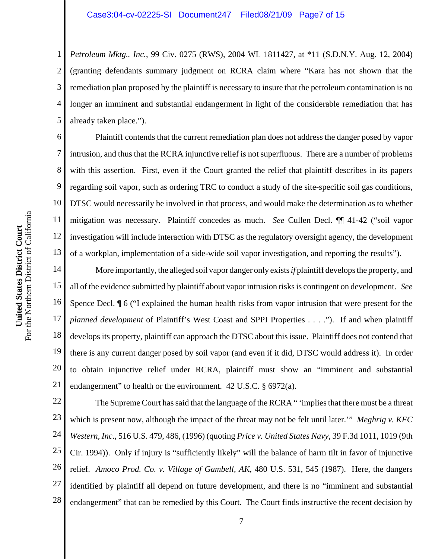1 2 3 4 5 *Petroleum Mktg.. Inc.*, 99 Civ. 0275 (RWS), 2004 WL 1811427, at \*11 (S.D.N.Y. Aug. 12, 2004) (granting defendants summary judgment on RCRA claim where "Kara has not shown that the remediation plan proposed by the plaintiff is necessary to insure that the petroleum contamination is no longer an imminent and substantial endangerment in light of the considerable remediation that has already taken place.").

6 10 12 13 Plaintiff contends that the current remediation plan does not address the danger posed by vapor intrusion, and thus that the RCRA injunctive relief is not superfluous. There are a number of problems with this assertion. First, even if the Court granted the relief that plaintiff describes in its papers regarding soil vapor, such as ordering TRC to conduct a study of the site-specific soil gas conditions, DTSC would necessarily be involved in that process, and would make the determination as to whether mitigation was necessary. Plaintiff concedes as much. *See* Cullen Decl. ¶¶ 41-42 ("soil vapor investigation will include interaction with DTSC as the regulatory oversight agency, the development of a workplan, implementation of a side-wide soil vapor investigation, and reporting the results").

14 15 16 17 18 19 20 21 More importantly, the alleged soil vapor danger only exists *if* plaintiff develops the property, and all of the evidence submitted by plaintiff about vapor intrusion risks is contingent on development. *See* Spence Decl. ¶ 6 ("I explained the human health risks from vapor intrusion that were present for the *planned development* of Plaintiff's West Coast and SPPI Properties . . . ."). If and when plaintiff develops its property, plaintiff can approach the DTSC about this issue. Plaintiff does not contend that there is any current danger posed by soil vapor (and even if it did, DTSC would address it). In order to obtain injunctive relief under RCRA, plaintiff must show an "imminent and substantial endangerment" to health or the environment. 42 U.S.C. § 6972(a).

22 23 24 25 26 27 28 The Supreme Court has said that the language of the RCRA " 'implies that there must be a threat which is present now, although the impact of the threat may not be felt until later.'" *Meghrig v. KFC Western, Inc*., 516 U.S. 479, 486, (1996) (quoting *Price v. United States Navy*, 39 F.3d 1011, 1019 (9th Cir. 1994)). Only if injury is "sufficiently likely" will the balance of harm tilt in favor of injunctive relief. *Amoco Prod. Co. v. Village of Gambell, AK*, 480 U.S. 531, 545 (1987). Here, the dangers identified by plaintiff all depend on future development, and there is no "imminent and substantial endangerment" that can be remedied by this Court. The Court finds instructive the recent decision by

7

8

9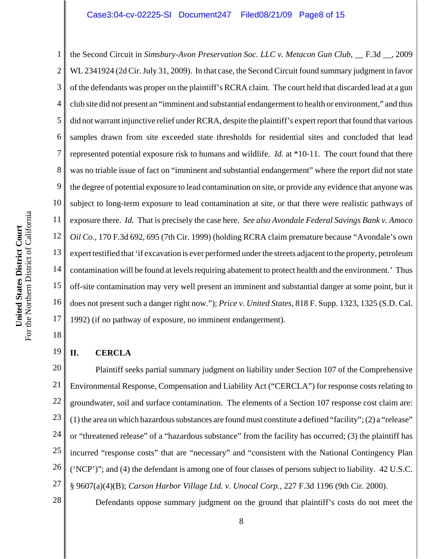1 2 3 4 5 6 7 8 9 10 11 12 13 14 15 16 17 the Second Circuit in *Simsbury-Avon Preservation Soc. LLC v. Metacon Gun Club*, \_\_ F.3d \_\_, 2009 WL 2341924 (2d Cir. July 31, 2009). In that case, the Second Circuit found summary judgment in favor of the defendants was proper on the plaintiff's RCRA claim. The court held that discarded lead at a gun club site did not present an "imminent and substantial endangerment to health or environment," and thus did not warrant injunctive relief under RCRA, despite the plaintiff's expert report that found that various samples drawn from site exceeded state thresholds for residential sites and concluded that lead represented potential exposure risk to humans and wildlife. *Id*. at \*10-11. The court found that there was no triable issue of fact on "imminent and substantial endangerment" where the report did not state the degree of potential exposure to lead contamination on site, or provide any evidence that anyone was subject to long-term exposure to lead contamination at site, or that there were realistic pathways of exposure there. *Id.* That is precisely the case here. *See also Avondale Federal Savings Bank v. Amoco Oil Co.*, 170 F.3d 692, 695 (7th Cir. 1999) (holding RCRA claim premature because "Avondale's own expert testified that 'if excavation is ever performed under the streets adjacent to the property, petroleum contamination will be found at levels requiring abatement to protect health and the environment.' Thus off-site contamination may very well present an imminent and substantial danger at some point, but it does not present such a danger right now."); *Price v. United States*, 818 F. Supp. 1323, 1325 (S.D. Cal. 1992) (if no pathway of exposure, no imminent endangerment).

#### 19 **II. CERCLA**

20 21 22 23 24 25 26 27 Plaintiff seeks partial summary judgment on liability under Section 107 of the Comprehensive Environmental Response, Compensation and Liability Act ("CERCLA") for response costs relating to groundwater, soil and surface contamination. The elements of a Section 107 response cost claim are: (1) the area on which hazardous substances are found must constitute a defined "facility"; (2) a "release" or "threatened release" of a "hazardous substance" from the facility has occurred; (3) the plaintiff has incurred "response costs" that are "necessary" and "consistent with the National Contingency Plan ('NCP')"; and (4) the defendant is among one of four classes of persons subject to liability. 42 U.S.C. § 9607(a)(4)(B); *Carson Harbor Village Ltd. v. Unocal Corp.*, 227 F.3d 1196 (9th Cir. 2000).

28

18

Defendants oppose summary judgment on the ground that plaintiff's costs do not meet the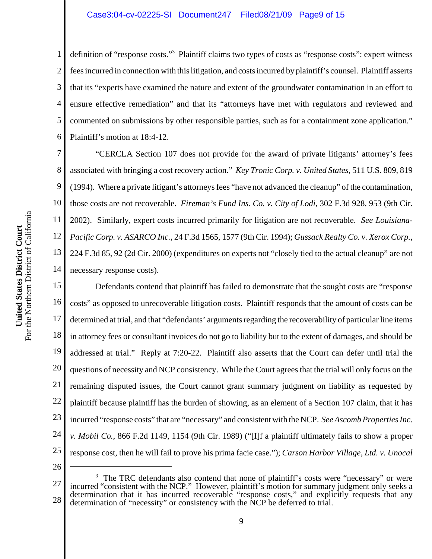#### Case3:04-cv-02225-SI Document247 Filed08/21/09 Page9 of 15

1 2 3 4 5 6 definition of "response costs."<sup>3</sup> Plaintiff claims two types of costs as "response costs": expert witness fees incurred in connection with this litigation, and costs incurred by plaintiff's counsel. Plaintiff asserts that its "experts have examined the nature and extent of the groundwater contamination in an effort to ensure effective remediation" and that its "attorneys have met with regulators and reviewed and commented on submissions by other responsible parties, such as for a containment zone application." Plaintiff's motion at 18:4-12.

7 8 9 10 11 12 13 14 "CERCLA Section 107 does not provide for the award of private litigants' attorney's fees associated with bringing a cost recovery action." *Key Tronic Corp. v. United States*, 511 U.S. 809, 819 (1994). Where a private litigant's attorneys fees "have not advanced the cleanup" of the contamination, those costs are not recoverable. *Fireman's Fund Ins. Co. v. City of Lodi*, 302 F.3d 928, 953 (9th Cir. 2002). Similarly, expert costs incurred primarily for litigation are not recoverable. *See Louisiana-Pacific Corp. v. ASARCO Inc.*, 24 F.3d 1565, 1577 (9th Cir. 1994); *Gussack Realty Co. v. Xerox Corp.*, 224 F.3d 85, 92 (2d Cir. 2000) (expenditures on experts not "closely tied to the actual cleanup" are not necessary response costs).

15 16 17 18 19 20 21 22 23 24 25 Defendants contend that plaintiff has failed to demonstrate that the sought costs are "response costs" as opposed to unrecoverable litigation costs. Plaintiff responds that the amount of costs can be determined at trial, and that "defendants' arguments regarding the recoverability of particular line items in attorney fees or consultant invoices do not go to liability but to the extent of damages, and should be addressed at trial." Reply at 7:20-22. Plaintiff also asserts that the Court can defer until trial the questions of necessity and NCP consistency. While the Court agrees that the trial will only focus on the remaining disputed issues, the Court cannot grant summary judgment on liability as requested by plaintiff because plaintiff has the burden of showing, as an element of a Section 107 claim, that it has incurred "response costs" that are "necessary" and consistent with the NCP. *See Ascomb Properties Inc. v. Mobil Co.*, 866 F.2d 1149, 1154 (9th Cir. 1989) ("[I]f a plaintiff ultimately fails to show a proper response cost, then he will fail to prove his prima facie case."); *Carson Harbor Village, Ltd. v. Unocal*

<sup>27</sup> 28 <sup>3</sup> The TRC defendants also contend that none of plaintiff's costs were "necessary" or were incurred "consistent with the NCP." However, plaintiff's motion for summary judgment only seeks a determination that it has incurred recoverable "response costs," and explicitly requests that any determination of "necessity" or consistency with the NCP be deferred to trial.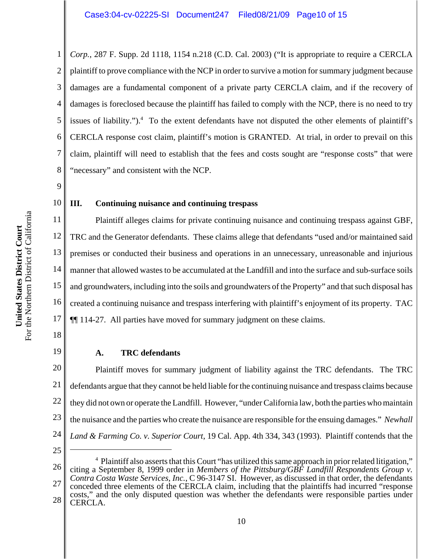2 3 4 5 6 7 8 *Corp.*, 287 F. Supp. 2d 1118, 1154 n.218 (C.D. Cal. 2003) ("It is appropriate to require a CERCLA plaintiff to prove compliance with the NCP in order to survive a motion for summary judgment because damages are a fundamental component of a private party CERCLA claim, and if the recovery of damages is foreclosed because the plaintiff has failed to comply with the NCP, there is no need to try issues of liability.").<sup>4</sup> To the extent defendants have not disputed the other elements of plaintiff's CERCLA response cost claim, plaintiff's motion is GRANTED. At trial, in order to prevail on this claim, plaintiff will need to establish that the fees and costs sought are "response costs" that were "necessary" and consistent with the NCP.

9

10

1

# **III. Continuing nuisance and continuing trespass**

11 12 13 14 15 16 17 Plaintiff alleges claims for private continuing nuisance and continuing trespass against GBF, TRC and the Generator defendants. These claims allege that defendants "used and/or maintained said premises or conducted their business and operations in an unnecessary, unreasonable and injurious manner that allowed wastes to be accumulated at the Landfill and into the surface and sub-surface soils and groundwaters, including into the soils and groundwaters of the Property" and that such disposal has created a continuing nuisance and trespass interfering with plaintiff's enjoyment of its property. TAC ¶¶ 114-27. All parties have moved for summary judgment on these claims.

18

19

## **A. TRC defendants**

20 21 22 23 24 Plaintiff moves for summary judgment of liability against the TRC defendants. The TRC defendants argue that they cannot be held liable for the continuing nuisance and trespass claims because they did not own or operate the Landfill. However, "under California law, both the parties who maintain the nuisance and the parties who create the nuisance are responsible for the ensuing damages." *Newhall Land & Farming Co. v. Superior Court*, 19 Cal. App. 4th 334, 343 (1993). Plaintiff contends that the

25

<sup>26</sup> 27 28 <sup>4</sup> Plaintiff also asserts that this Court "has utilized this same approach in prior related litigation," citing a September 8, 1999 order in *Members of the Pittsburg/GBF Landfill Respondents Group v. Contra Costa Waste Services, Inc.*, C 96-3147 SI. However, as discussed in that order, the defendants conceded three elements of the CERCLA claim, including that the plaintiffs had incurred "response costs," and the only disputed question was whether the defendants were responsible parties under CERCLA.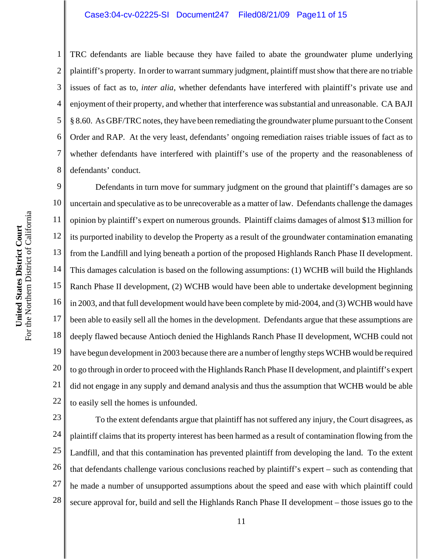# Case3:04-cv-02225-SI Document247 Filed08/21/09 Page11 of 15

TRC defendants are liable because they have failed to abate the groundwater plume underlying plaintiff's property. In order to warrant summary judgment, plaintiff must show that there are no triable issues of fact as to, *inter alia*, whether defendants have interfered with plaintiff's private use and enjoyment of their property, and whether that interference was substantial and unreasonable. CA BAJI § 8.60. As GBF/TRC notes, they have been remediating the groundwater plume pursuant to the Consent Order and RAP. At the very least, defendants' ongoing remediation raises triable issues of fact as to whether defendants have interfered with plaintiff's use of the property and the reasonableness of defendants' conduct.

9 10 11 12 13 14 15 16 17 18 19 20 21 22 Defendants in turn move for summary judgment on the ground that plaintiff's damages are so uncertain and speculative as to be unrecoverable as a matter of law. Defendants challenge the damages opinion by plaintiff's expert on numerous grounds. Plaintiff claims damages of almost \$13 million for its purported inability to develop the Property as a result of the groundwater contamination emanating from the Landfill and lying beneath a portion of the proposed Highlands Ranch Phase II development. This damages calculation is based on the following assumptions: (1) WCHB will build the Highlands Ranch Phase II development, (2) WCHB would have been able to undertake development beginning in 2003, and that full development would have been complete by mid-2004, and (3) WCHB would have been able to easily sell all the homes in the development. Defendants argue that these assumptions are deeply flawed because Antioch denied the Highlands Ranch Phase II development, WCHB could not have begun development in 2003 because there are a number of lengthy steps WCHB would be required to go through in order to proceed with the Highlands Ranch Phase II development, and plaintiff's expert did not engage in any supply and demand analysis and thus the assumption that WCHB would be able to easily sell the homes is unfounded.

23 24 25 26 27 28 To the extent defendants argue that plaintiff has not suffered any injury, the Court disagrees, as plaintiff claims that its property interest has been harmed as a result of contamination flowing from the Landfill, and that this contamination has prevented plaintiff from developing the land. To the extent that defendants challenge various conclusions reached by plaintiff's expert – such as contending that he made a number of unsupported assumptions about the speed and ease with which plaintiff could secure approval for, build and sell the Highlands Ranch Phase II development – those issues go to the

1

2

3

4

5

6

7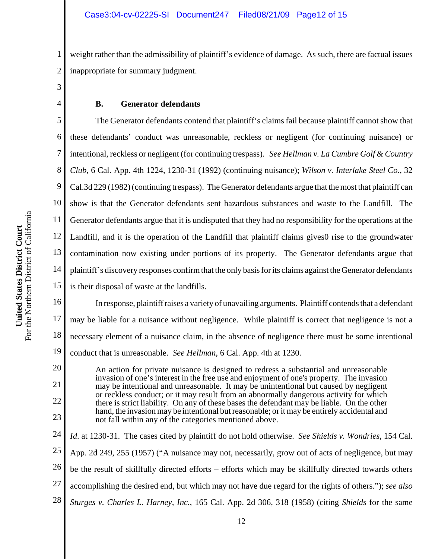1 2 weight rather than the admissibility of plaintiff's evidence of damage. As such, there are factual issues inappropriate for summary judgment.

3 4

# **B. Generator defendants**

5 6 7 8 9 10 11 12 13 14 15 The Generator defendants contend that plaintiff's claims fail because plaintiff cannot show that these defendants' conduct was unreasonable, reckless or negligent (for continuing nuisance) or intentional, reckless or negligent (for continuing trespass). *See Hellman v. La Cumbre Golf & Country Club*, 6 Cal. App. 4th 1224, 1230-31 (1992) (continuing nuisance); *Wilson v. Interlake Steel Co.*, 32 Cal.3d 229 (1982) (continuing trespass). The Generator defendants argue that the most that plaintiff can show is that the Generator defendants sent hazardous substances and waste to the Landfill. The Generator defendants argue that it is undisputed that they had no responsibility for the operations at the Landfill, and it is the operation of the Landfill that plaintiff claims gives0 rise to the groundwater contamination now existing under portions of its property. The Generator defendants argue that plaintiff's discovery responses confirm that the only basis for its claims against the Generator defendants is their disposal of waste at the landfills.

16 17 18 19 In response, plaintiff raises a variety of unavailing arguments. Plaintiff contends that a defendant may be liable for a nuisance without negligence. While plaintiff is correct that negligence is not a necessary element of a nuisance claim, in the absence of negligence there must be some intentional conduct that is unreasonable. *See Hellman*, 6 Cal. App. 4th at 1230.

An action for private nuisance is designed to redress a substantial and unreasonable invasion of one's interest in the free use and enjoyment of one's property. The invasion may be intentional and unreasonable. It may be unintentional but caused by negligent or reckless conduct; or it may result from an abnormally dangerous activity for which there is strict liability. On any of these bases the defendant may be liable. On the other hand, the invasion may be intentional but reasonable; or it may be entirely accidental and not fall within any of the categories mentioned above.

24 25 26 27 28 *Id*. at 1230-31. The cases cited by plaintiff do not hold otherwise. *See Shields v. Wondries*, 154 Cal. App. 2d 249, 255 (1957) ("A nuisance may not, necessarily, grow out of acts of negligence, but may be the result of skillfully directed efforts – efforts which may be skillfully directed towards others accomplishing the desired end, but which may not have due regard for the rights of others."); *see also Sturges v. Charles L. Harney, Inc.*, 165 Cal. App. 2d 306, 318 (1958) (citing *Shields* for the same

20

21

22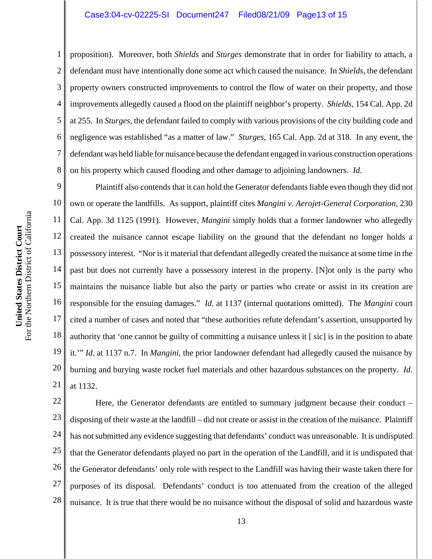3 4 6 8 proposition). Moreover, both *Shields* and *Sturges* demonstrate that in order for liability to attach, a defendant must have intentionally done some act which caused the nuisance. In *Shields*, the defendant property owners constructed improvements to control the flow of water on their property, and those improvements allegedly caused a flood on the plaintiff neighbor's property. *Shields*, 154 Cal. App. 2d at 255. In *Sturges*, the defendant failed to comply with various provisions of the city building code and negligence was established "as a matter of law." *Sturges*, 165 Cal. App. 2d at 318. In any event, the defendant was held liable for nuisance because the defendant engaged in various construction operations on his property which caused flooding and other damage to adjoining landowners. *Id*.

9 10 11 12 13 14 15 16 17 18 19 20 21 Plaintiff also contends that it can hold the Generator defendants liable even though they did not own or operate the landfills. As support, plaintiff cites *Mangini v. Aerojet-General Corporation*, 230 Cal. App. 3d 1125 (1991). However, *Mangini* simply holds that a former landowner who allegedly created the nuisance cannot escape liability on the ground that the defendant no longer holds a possessory interest. "Nor is it material that defendant allegedly created the nuisance at some time in the past but does not currently have a possessory interest in the property. [N]ot only is the party who maintains the nuisance liable but also the party or parties who create or assist in its creation are responsible for the ensuing damages." *Id*. at 1137 (internal quotations omitted). The *Mangini* court cited a number of cases and noted that "these authorities refute defendant's assertion, unsupported by authority that 'one cannot be guilty of committing a nuisance unless it [ sic] is in the position to abate it.'" *Id*. at 1137 n.7. In *Mangini*, the prior landowner defendant had allegedly caused the nuisance by burning and burying waste rocket fuel materials and other hazardous substances on the property. *Id*. at 1132.

22 23 24 25 26 27 28 Here, the Generator defendants are entitled to summary judgment because their conduct – disposing of their waste at the landfill – did not create or assist in the creation of the nuisance. Plaintiff has not submitted any evidence suggesting that defendants' conduct was unreasonable. It is undisputed that the Generator defendants played no part in the operation of the Landfill, and it is undisputed that the Generator defendants' only role with respect to the Landfill was having their waste taken there for purposes of its disposal. Defendants' conduct is too attenuated from the creation of the alleged nuisance. It is true that there would be no nuisance without the disposal of solid and hazardous waste

1

2

5

7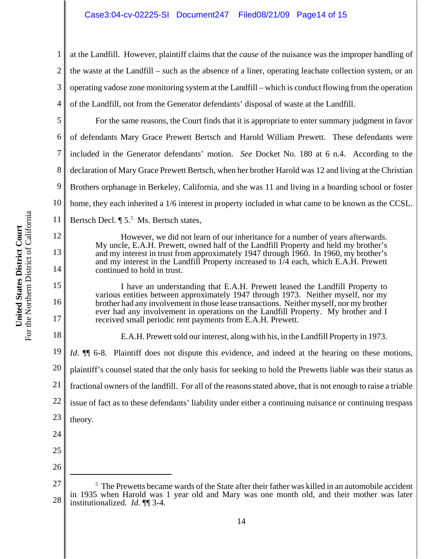4 at the Landfill. However, plaintiff claims that the *cause* of the nuisance was the improper handling of the waste at the Landfill – such as the absence of a liner, operating leachate collection system, or an operating vadose zone monitoring system at the Landfill – which is conduct flowing from the operation of the Landfill, not from the Generator defendants' disposal of waste at the Landfill.

5 6 7 8 9 10 11 For the same reasons, the Court finds that it is appropriate to enter summary judgment in favor of defendants Mary Grace Prewett Bertsch and Harold William Prewett. These defendants were included in the Generator defendants' motion. *See* Docket No. 180 at 6 n.4. According to the declaration of Mary Grace Prewett Bertsch, when her brother Harold was 12 and living at the Christian Brothers orphanage in Berkeley, California, and she was 11 and living in a boarding school or foster home, they each inherited a 1/6 interest in property included in what came to be known as the CCSL. Bertsch Decl.  $\P 5^5$  Ms. Bertsch states,

> However, we did not learn of our inheritance for a number of years afterwards. My uncle, E.A.H. Prewett, owned half of the Landfill Property and held my brother's and my interest in trust from approximately 1947 through 1960. In 1960, my brother's and my interest in the Landfill Property increased to 1/4 each, which E.A.H. Prewett continued to hold in trust.

> I have an understanding that E.A.H. Prewett leased the Landfill Property to various entities between approximately 1947 through 1973. Neither myself, nor my brother had any involvement in those lease transactions. Neither myself, nor my brother ever had any involvement in operations on the Landfill Property. My brother and I received small periodic rent payments from E.A.H. Prewett.

E.A.H. Prewett sold our interest, along with his, in the Landfill Property in 1973.

19 20 21 22 23 24 *Id*.  $\blacksquare$  6-8. Plaintiff does not dispute this evidence, and indeed at the hearing on these motions, plaintiff's counsel stated that the only basis for seeking to hold the Prewetts liable was their status as fractional owners of the landfill. For all of the reasons stated above, that is not enough to raise a triable issue of fact as to these defendants' liability under either a continuing nuisance or continuing trespass theory.

- 25
- 26

1

2

3

12

13

14

15

16

17

<sup>27</sup> 28 <sup>5</sup> The Prewetts became wards of the State after their father was killed in an automobile accident in 1935 when Harold was 1 year old and Mary was one month old, and their mother was later institutionalized. *Id*. ¶¶ 3-4.